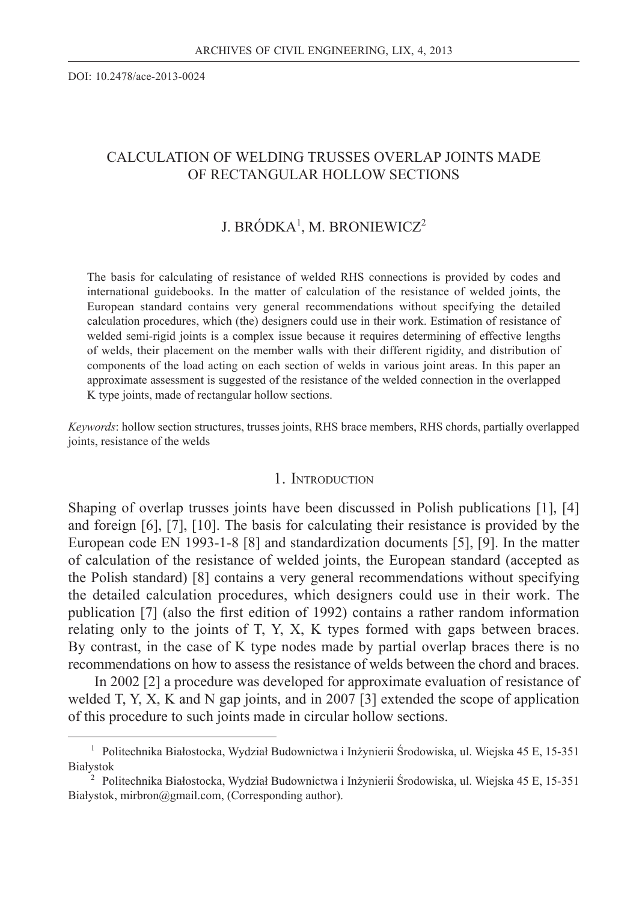DOI: 10.2478/ace-2013-0024

# CALCULATION OF WELDING TRUSSES OVERLAP JOINTS MADE OF RECTANGULAR HOLLOW SECTIONS

# J. BRÓDKA<sup>1</sup>, M. BRONIEWICZ<sup>2</sup>

The basis for calculating of resistance of welded RHS connections is provided by codes and international guidebooks. In the matter of calculation of the resistance of welded joints, the European standard contains very general recommendations without specifying the detailed calculation procedures, which (the) designers could use in their work. Estimation of resistance of welded semi-rigid joints is a complex issue because it requires determining of effective lengths of welds, their placement on the member walls with their different rigidity, and distribution of components of the load acting on each section of welds in various joint areas. In this paper an approximate assessment is suggested of the resistance of the welded connection in the overlapped K type joints, made of rectangular hollow sections.

*Keywords*: hollow section structures, trusses joints, RHS brace members, RHS chords, partially overlapped joints, resistance of the welds

## 1. INTRODUCTION

Shaping of overlap trusses joints have been discussed in Polish publications [1], [4] and foreign [6], [7], [10]. The basis for calculating their resistance is provided by the European code EN 1993-1-8 [8] and standardization documents [5], [9]. In the matter of calculation of the resistance of welded joints, the European standard (accepted as the Polish standard) [8] contains a very general recommendations without specifying the detailed calculation procedures, which designers could use in their work. The publication  $[7]$  (also the first edition of 1992) contains a rather random information relating only to the joints of T, Y, X, K types formed with gaps between braces. By contrast, in the case of K type nodes made by partial overlap braces there is no recommendations on how to assess the resistance of welds between the chord and braces.

 In 2002 [2] a procedure was developed for approximate evaluation of resistance of welded T, Y, X, K and N gap joints, and in 2007 [3] extended the scope of application of this procedure to such joints made in circular hollow sections.

<sup>1</sup> Politechnika Białostocka, Wydział Budownictwa i Inżynierii Środowiska, ul. Wiejska 45 E, 15-351 Białystok

<sup>2</sup> Politechnika Białostocka, Wydział Budownictwa i Inżynierii Środowiska, ul. Wiejska 45 E, 15-351 Białystok, mirbron@gmail.com, (Corresponding author).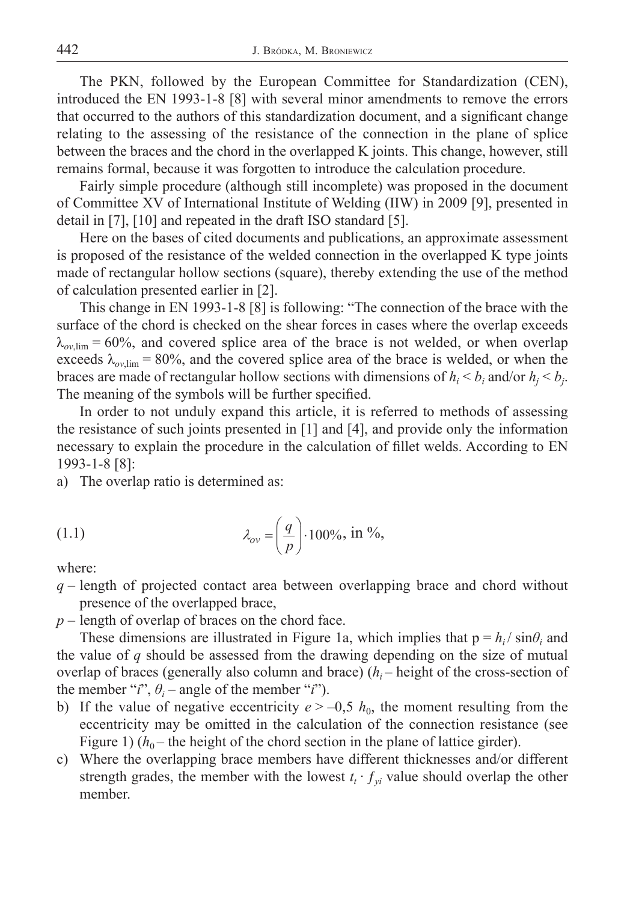The PKN, followed by the European Committee for Standardization (CEN), introduced the EN 1993-1-8 [8] with several minor amendments to remove the errors that occurred to the authors of this standardization document, and a significant change relating to the assessing of the resistance of the connection in the plane of splice between the braces and the chord in the overlapped K joints. This change, however, still remains formal, because it was forgotten to introduce the calculation procedure.

Fairly simple procedure (although still incomplete) was proposed in the document of Committee XV of International Institute of Welding (IIW) in 2009 [9], presented in detail in [7], [10] and repeated in the draft ISO standard [5].

Here on the bases of cited documents and publications, an approximate assessment is proposed of the resistance of the welded connection in the overlapped K type joints made of rectangular hollow sections (square), thereby extending the use of the method of calculation presented earlier in [2].

This change in EN 1993-1-8 [8] is following: "The connection of the brace with the surface of the chord is checked on the shear forces in cases where the overlap exceeds  $\lambda_{ov,lim}$  = 60%, and covered splice area of the brace is not welded, or when overlap exceeds  $\lambda_{ov\,lim}$  = 80%, and the covered splice area of the brace is welded, or when the braces are made of rectangular hollow sections with dimensions of  $h_i < b_i$  and/or  $h_j < b_j$ . The meaning of the symbols will be further specified.

In order to not unduly expand this article, it is referred to methods of assessing the resistance of such joints presented in [1] and [4], and provide only the information necessary to explain the procedure in the calculation of fillet welds. According to EN 1993-1-8 [8]:

a) The overlap ratio is determined as:

$$
\lambda_{ov} = \left(\frac{q}{p}\right) \cdot 100\%, \text{ in } \%
$$

where:

- *q –* length of projected contact area between overlapping brace and chord without presence of the overlapped brace,
- *p* length of overlap of braces on the chord face.

These dimensions are illustrated in Figure 1a, which implies that  $p = h_i / \sin\theta_i$  and the value of *q* should be assessed from the drawing depending on the size of mutual overlap of braces (generally also column and brace) (*hi* – height of the cross-section of the member "*i*",  $\theta_i$  – angle of the member "*i*").

- b) If the value of negative eccentricity  $e > -0.5 h_0$ , the moment resulting from the eccentricity may be omitted in the calculation of the connection resistance (see Figure 1)  $(h_0$  – the height of the chord section in the plane of lattice girder).
- c) Where the overlapping brace members have different thicknesses and/or different strength grades, the member with the lowest  $t_i \cdot f_{vi}$  value should overlap the other member.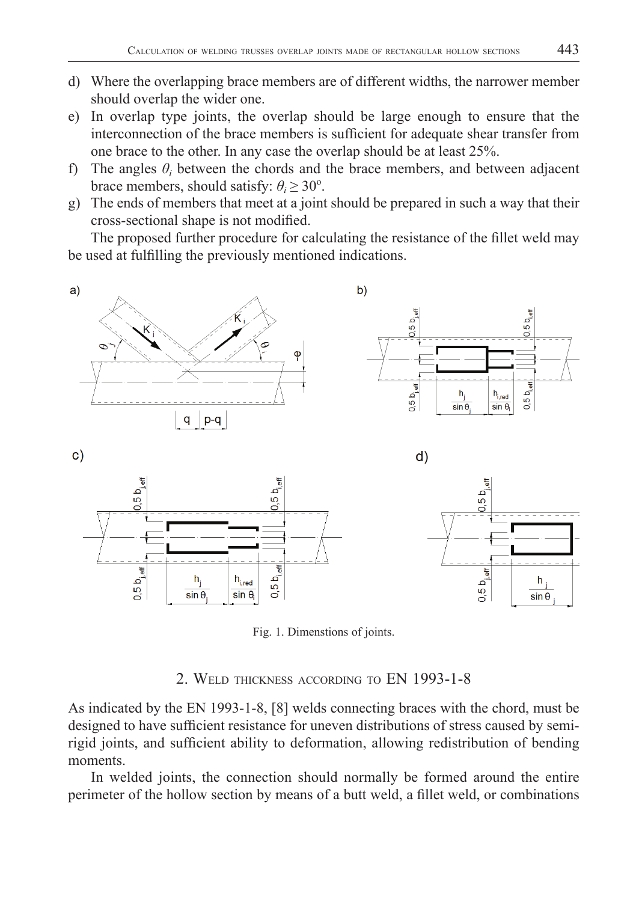- d) Where the overlapping brace members are of different widths, the narrower member should overlap the wider one.
- e) In overlap type joints, the overlap should be large enough to ensure that the interconnection of the brace members is sufficient for adequate shear transfer from one brace to the other. In any case the overlap should be at least 25%.
- f) The angles  $\theta_i$  between the chords and the brace members, and between adjacent brace members, should satisfy:  $\theta_i \geq 30^\circ$ .
- g) The ends of members that meet at a joint should be prepared in such a way that their cross-sectional shape is not modified.

The proposed further procedure for calculating the resistance of the fillet weld may be used at fulfilling the previously mentioned indications.



Fig. 1. Dimenstions of joints.

# 2. WELD THICKNESS ACCORDING TO EN 1993-1-8

As indicated by the EN 1993-1-8, [8] welds connecting braces with the chord, must be designed to have sufficient resistance for uneven distributions of stress caused by semirigid joints, and sufficient ability to deformation, allowing redistribution of bending moments.

In welded joints, the connection should normally be formed around the entire perimeter of the hollow section by means of a butt weld, a fillet weld, or combinations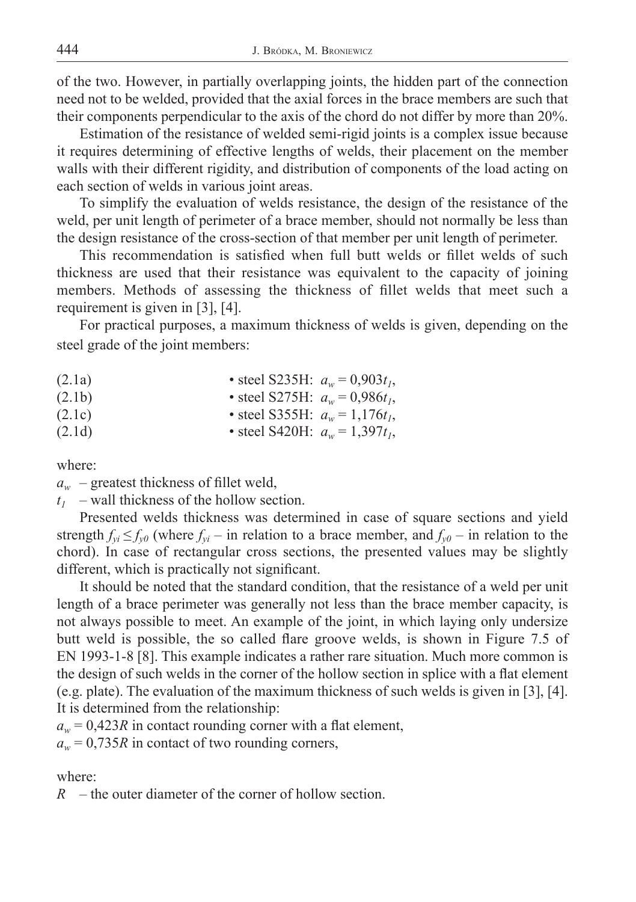of the two. However, in partially overlapping joints, the hidden part of the connection need not to be welded, provided that the axial forces in the brace members are such that their components perpendicular to the axis of the chord do not differ by more than 20%.

Estimation of the resistance of welded semi-rigid joints is a complex issue because it requires determining of effective lengths of welds, their placement on the member walls with their different rigidity, and distribution of components of the load acting on each section of welds in various joint areas.

To simplify the evaluation of welds resistance, the design of the resistance of the weld, per unit length of perimeter of a brace member, should not normally be less than the design resistance of the cross-section of that member per unit length of perimeter.

This recommendation is satisfied when full butt welds or fillet welds of such thickness are used that their resistance was equivalent to the capacity of joining members. Methods of assessing the thickness of fillet welds that meet such a requirement is given in [3], [4].

For practical purposes, a maximum thickness of welds is given, depending on the steel grade of the joint members:

| (2.1a) | • steel S235H: $a_w = 0.903t_1$ , |
|--------|-----------------------------------|
| (2.1b) | • steel S275H: $a_w = 0.986t_1$ , |
| (2.1c) | • steel S355H: $a_w = 1,176t_1$ , |
| (2.1d) | • steel S420H: $a_w = 1,397t_1$ , |

where:

 $a_w$  – greatest thickness of fillet weld,

 $t_1$  – wall thickness of the hollow section.

Presented welds thickness was determined in case of square sections and yield strength  $f_{vi} \leq f_{v0}$  (where  $f_{vi}$  – in relation to a brace member, and  $f_{v0}$  – in relation to the chord). In case of rectangular cross sections, the presented values may be slightly different, which is practically not significant.

It should be noted that the standard condition, that the resistance of a weld per unit length of a brace perimeter was generally not less than the brace member capacity, is not always possible to meet. An example of the joint, in which laying only undersize butt weld is possible, the so called flare groove welds, is shown in Figure 7.5 of EN 1993-1-8 [8]. This example indicates a rather rare situation. Much more common is the design of such welds in the corner of the hollow section in splice with a flat element (e.g. plate). The evaluation of the maximum thickness of such welds is given in [3], [4]. It is determined from the relationship:

 $a_w = 0.423R$  in contact rounding corner with a flat element,  $a_w = 0.735R$  in contact of two rounding corners,

where:

*R* – the outer diameter of the corner of hollow section.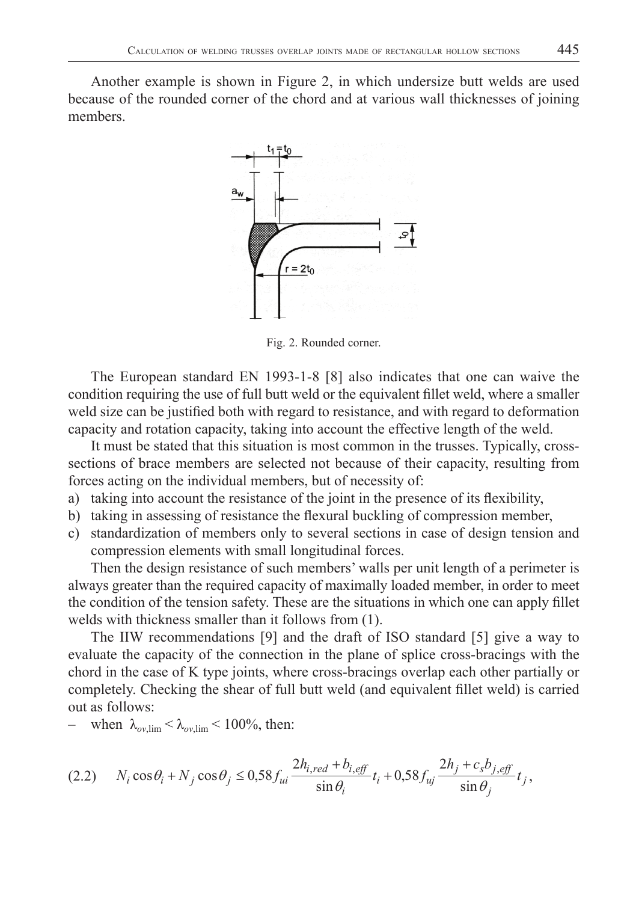Another example is shown in Figure 2, in which undersize butt welds are used because of the rounded corner of the chord and at various wall thicknesses of joining members.



Fig. 2. Rounded corner.

The European standard EN 1993-1-8 [8] also indicates that one can waive the condition requiring the use of full butt weld or the equivalent fillet weld, where a smaller weld size can be justified both with regard to resistance, and with regard to deformation capacity and rotation capacity, taking into account the effective length of the weld.

It must be stated that this situation is most common in the trusses. Typically, crosssections of brace members are selected not because of their capacity, resulting from forces acting on the individual members, but of necessity of:

- a) taking into account the resistance of the joint in the presence of its flexibility,
- b) taking in assessing of resistance the flexural buckling of compression member,
- c) standardization of members only to several sections in case of design tension and compression elements with small longitudinal forces.

Then the design resistance of such members' walls per unit length of a perimeter is always greater than the required capacity of maximally loaded member, in order to meet the condition of the tension safety. These are the situations in which one can apply fillet welds with thickness smaller than it follows from (1).

The IIW recommendations [9] and the draft of ISO standard [5] give a way to evaluate the capacity of the connection in the plane of splice cross-bracings with the chord in the case of K type joints, where cross-bracings overlap each other partially or completely. Checking the shear of full butt weld (and equivalent fillet weld) is carried out as follows:

when  $\lambda_{ov,lim} < \lambda_{ov,lim} < 100\%$ , then:

$$
(2.2) \qquad N_i \cos \theta_i + N_j \cos \theta_j \le 0,58 f_{ui} \frac{2h_{i,red} + b_{i,eff}}{\sin \theta_i} t_i + 0,58 f_{uj} \frac{2h_j + c_s b_{j,eff}}{\sin \theta_j} t_j,
$$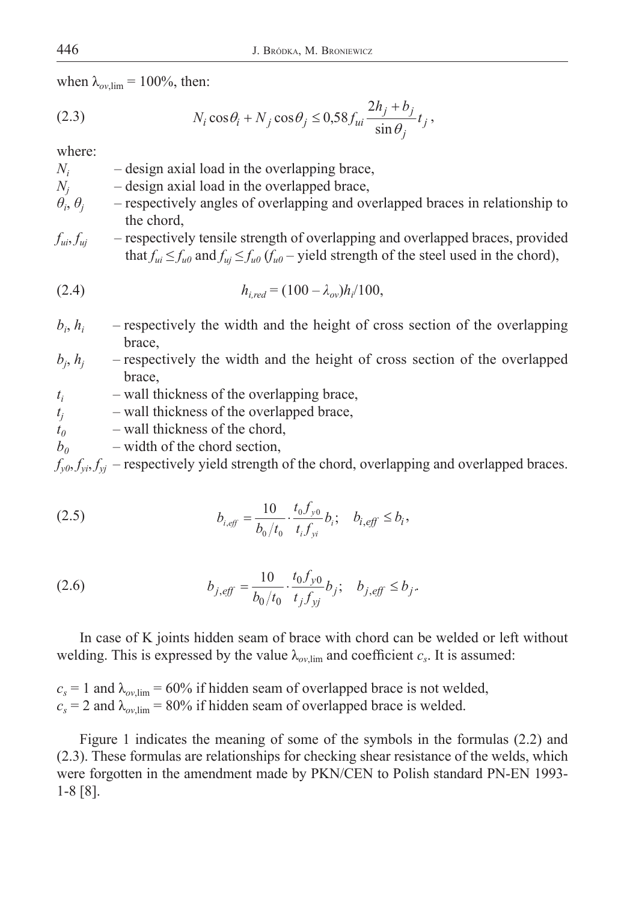when  $\lambda_{ov,lim}$  = 100%, then:

(2.3) 
$$
N_i \cos \theta_i + N_j \cos \theta_j \leq 0.58 f_{ui} \frac{2h_j + b_j}{\sin \theta_j} t_j,
$$

where:

*Ni* – design axial load in the overlapping brace,

- $N_i$ – design axial load in the overlapped brace,
- $\theta_i$ ,  $\theta_i$ – respectively angles of overlapping and overlapped braces in relationship to the chord,
- *fui*, *fuj* respectively tensile strength of overlapping and overlapped braces, provided that  $f_{ui} \le f_{u0}$  and  $f_{uj} \le f_{u0}$  ( $f_{u0}$  – yield strength of the steel used in the chord),

(2.4) 
$$
h_{i,red} = (100 - \lambda_{ov})h_i/100,
$$

- $b_i$ ,  $h_i$  – respectively the width and the height of cross section of the overlapping brace,
- $b_j$ ,  $h_j$  – respectively the width and the height of cross section of the overlapped brace,
- *ti* – wall thickness of the overlapping brace,
- *tj* – wall thickness of the overlapped brace,
- $t_0$  wall thickness of the chord,
- $b_0$  width of the chord section,

 $f_{\nu\theta}$ ,  $f_{\nu i}$ ,  $f_{\nu j}$  – respectively yield strength of the chord, overlapping and overlapped braces.

(2.5) 
$$
b_{i,eff} = \frac{10}{b_0/t_0} \cdot \frac{t_0 f_{y0}}{t_i f_{yi}} b_i; \quad b_{i,eff} \le b_i,
$$

(2.6) 
$$
b_{j,eff} = \frac{10}{b_0/t_0} \cdot \frac{t_0 f_{y0}}{t_j f_{yj}} b_j; \quad b_{j,eff} \le b_j.
$$

In case of K joints hidden seam of brace with chord can be welded or left without welding. This is expressed by the value  $\lambda_{ov,lim}$  and coefficient  $c_s$ . It is assumed:

 $c_s = 1$  and  $\lambda_{ov,lim} = 60\%$  if hidden seam of overlapped brace is not welded,  $c_s = 2$  and  $\lambda_{ov,lim} = 80\%$  if hidden seam of overlapped brace is welded.

Figure 1 indicates the meaning of some of the symbols in the formulas (2.2) and (2.3). These formulas are relationships for checking shear resistance of the welds, which were forgotten in the amendment made by PKN/CEN to Polish standard PN-EN 1993- 1-8 [8].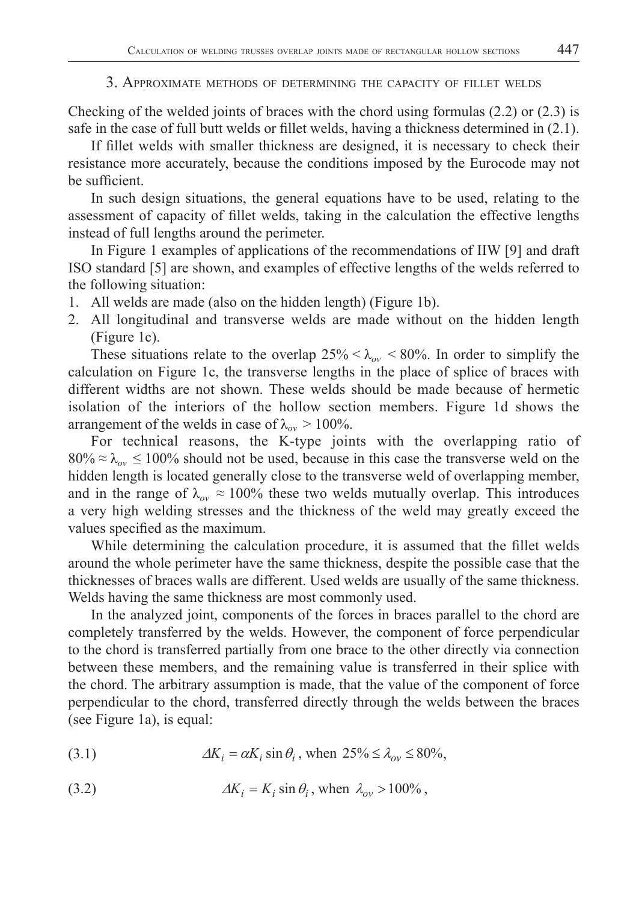### 3. APPROXIMATE METHODS OF DETERMINING THE CAPACITY OF FILLET WELDS

Checking of the welded joints of braces with the chord using formulas  $(2.2)$  or  $(2.3)$  is safe in the case of full butt welds or fillet welds, having a thickness determined in  $(2.1)$ .

If fillet welds with smaller thickness are designed, it is necessary to check their resistance more accurately, because the conditions imposed by the Eurocode may not be sufficient.

In such design situations, the general equations have to be used, relating to the assessment of capacity of fillet welds, taking in the calculation the effective lengths instead of full lengths around the perimeter.

In Figure 1 examples of applications of the recommendations of IIW [9] and draft ISO standard [5] are shown, and examples of effective lengths of the welds referred to the following situation:

- 1. All welds are made (also on the hidden length) (Figure 1b).
- 2. All longitudinal and transverse welds are made without on the hidden length (Figure 1c).

These situations relate to the overlap  $25\% < \lambda_{ov} < 80\%$ . In order to simplify the calculation on Figure 1c, the transverse lengths in the place of splice of braces with different widths are not shown. These welds should be made because of hermetic isolation of the interiors of the hollow section members. Figure 1d shows the arrangement of the welds in case of  $\lambda_{ov} > 100\%$ .

For technical reasons, the K-type joints with the overlapping ratio of  $80\% \approx \lambda_{ov} \le 100\%$  should not be used, because in this case the transverse weld on the hidden length is located generally close to the transverse weld of overlapping member, and in the range of  $\lambda_{ov} \approx 100\%$  these two welds mutually overlap. This introduces a very high welding stresses and the thickness of the weld may greatly exceed the values specified as the maximum.

While determining the calculation procedure, it is assumed that the fillet welds around the whole perimeter have the same thickness, despite the possible case that the thicknesses of braces walls are different. Used welds are usually of the same thickness. Welds having the same thickness are most commonly used.

In the analyzed joint, components of the forces in braces parallel to the chord are completely transferred by the welds. However, the component of force perpendicular to the chord is transferred partially from one brace to the other directly via connection between these members, and the remaining value is transferred in their splice with the chord. The arbitrary assumption is made, that the value of the component of force perpendicular to the chord, transferred directly through the welds between the braces (see Figure 1a), is equal:

(3.1) 
$$
\Delta K_i = \alpha K_i \sin \theta_i, \text{ when } 25\% \le \lambda_{ov} \le 80\%,
$$

(3.2) 
$$
\Delta K_i = K_i \sin \theta_i, \text{ when } \lambda_{ov} > 100\%,
$$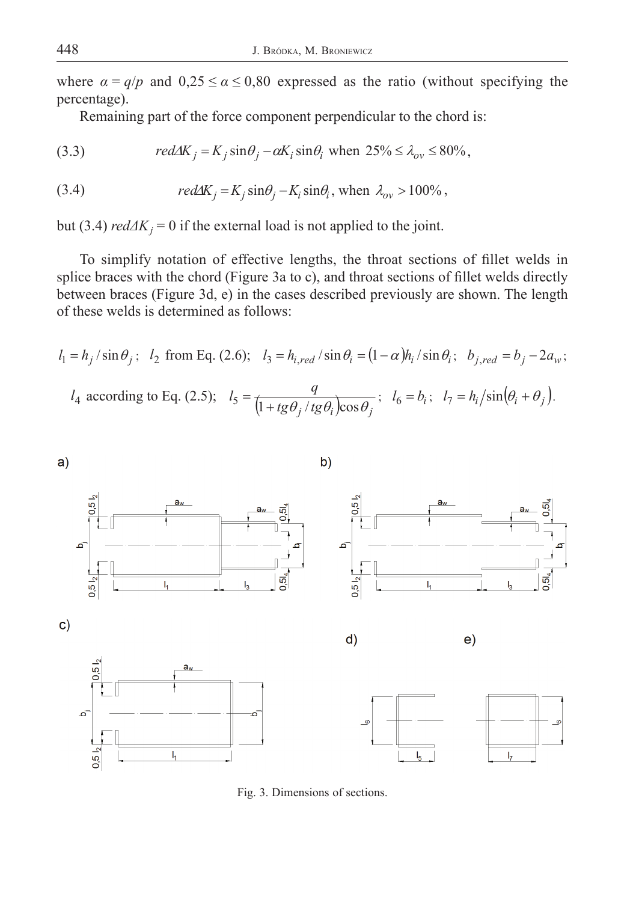where  $\alpha = q/p$  and  $0.25 \le \alpha \le 0.80$  expressed as the ratio (without specifying the percentage).

Remaining part of the force component perpendicular to the chord is:

(3.3) 
$$
red\Delta K_j = K_j \sin\theta_j - \alpha K_i \sin\theta_i \text{ when } 25\% \le \lambda_{ov} \le 80\%,
$$

(3.4) 
$$
red\Delta K_j = K_j \sin\theta_j - K_i \sin\theta_i, \text{ when } \lambda_{ov} > 100\%,
$$

but (3.4)  $red\Delta K_j = 0$  if the external load is not applied to the joint.

To simplify notation of effective lengths, the throat sections of fillet welds in splice braces with the chord (Figure 3a to c), and throat sections of fillet welds directly between braces (Figure 3d, e) in the cases described previously are shown. The length of these welds is determined as follows:

$$
l_1 = h_j / \sin \theta_j; \quad l_2 \text{ from Eq. (2.6)}; \quad l_3 = h_{i,red} / \sin \theta_i = (1 - \alpha) h_i / \sin \theta_i; \quad b_{j,red} = b_j - 2a_w;
$$
\n
$$
l_4 \text{ according to Eq. (2.5)}; \quad l_5 = \frac{q}{\left(1 + t g \theta_j / t g \theta_i\right) \cos \theta_j}; \quad l_6 = b_i; \quad l_7 = h_i / \sin(\theta_i + \theta_j).
$$



Fig. 3. Dimensions of sections.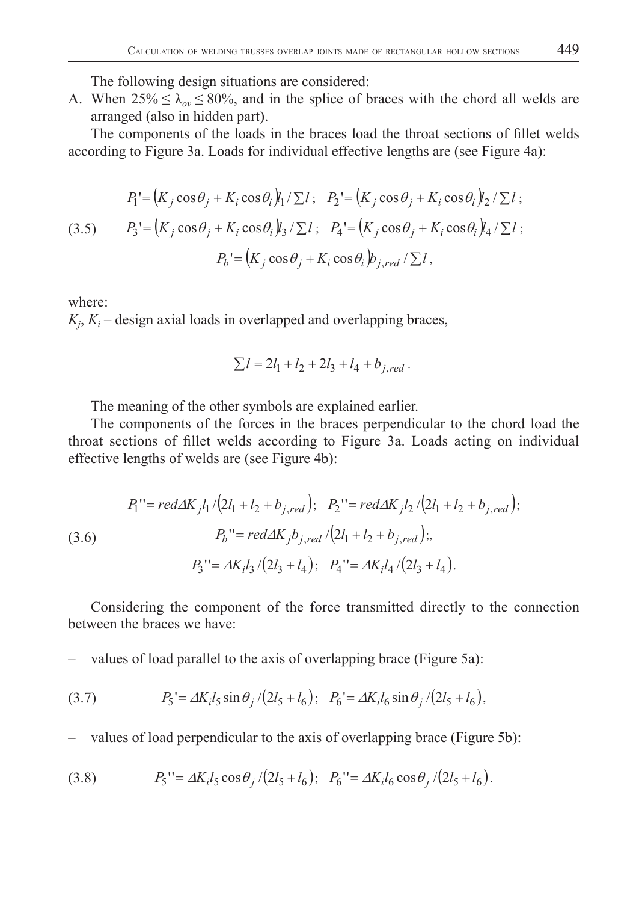The following design situations are considered:

A. When  $25\% \le \lambda_{ov} \le 80\%$ , and in the splice of braces with the chord all welds are arranged (also in hidden part).

The components of the loads in the braces load the throat sections of fillet welds according to Figure 3a. Loads for individual effective lengths are (see Figure 4a):

(3.5) 
$$
P_1' = (K_j \cos \theta_j + K_i \cos \theta_i) \mathbf{1}_1 / \sum l; \quad P_2' = (K_j \cos \theta_j + K_i \cos \theta_i) \mathbf{1}_2 / \sum l;
$$

$$
P_3' = (K_j \cos \theta_j + K_i \cos \theta_i) \mathbf{1}_3 / \sum l; \quad P_4' = (K_j \cos \theta_j + K_i \cos \theta_i) \mathbf{1}_4 / \sum l;
$$

$$
P_b' = (K_j \cos \theta_j + K_i \cos \theta_i) \mathbf{1}_{j,red} / \sum l,
$$

where:

 $K_j$ ,  $K_i$  – design axial loads in overlapped and overlapping braces,

$$
\sum l = 2l_1 + l_2 + 2l_3 + l_4 + b_{j,red}.
$$

The meaning of the other symbols are explained earlier.

The components of the forces in the braces perpendicular to the chord load the throat sections of fillet welds according to Figure 3a. Loads acting on individual effective lengths of welds are (see Figure 4b):

(3.6)  
\n
$$
P_1'' = red\Delta K_j l_1 / (2l_1 + l_2 + b_{j,red}); \quad P_2'' = red\Delta K_j l_2 / (2l_1 + l_2 + b_{j,red});
$$
\n
$$
P_b'' = red\Delta K_j b_{j,red} / (2l_1 + l_2 + b_{j,red});
$$
\n
$$
P_3'' = \Delta K_i l_3 / (2l_3 + l_4); \quad P_4'' = \Delta K_i l_4 / (2l_3 + l_4).
$$

Considering the component of the force transmitted directly to the connection between the braces we have:

– values of load parallel to the axis of overlapping brace (Figure 5a):

(3.7) 
$$
P_5 = \Delta K_i l_5 \sin \theta_j / (2l_5 + l_6); \quad P_6 = \Delta K_i l_6 \sin \theta_j / (2l_5 + l_6),
$$

– values of load perpendicular to the axis of overlapping brace (Figure 5b):

(3.8) 
$$
P_5'' = \Delta K_i l_5 \cos \theta_j / (2l_5 + l_6); \quad P_6'' = \Delta K_i l_6 \cos \theta_j / (2l_5 + l_6).
$$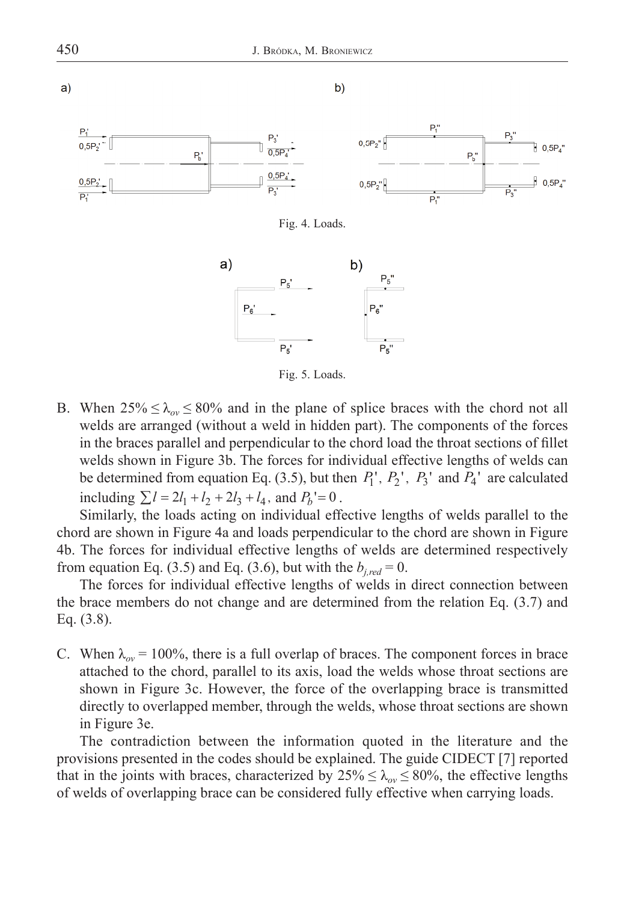

Fig. 5. Loads.

B. When  $25\% \leq \lambda_{ov} \leq 80\%$  and in the plane of splice braces with the chord not all welds are arranged (without a weld in hidden part). The components of the forces in the braces parallel and perpendicular to the chord load the throat sections of fillet welds shown in Figure 3b. The forces for individual effective lengths of welds can be determined from equation Eq. (3.5), but then  $P_1$ <sup>'</sup>,  $P_2$ <sup>'</sup>,  $P_3$ <sup>'</sup> and  $P_4$ <sup>'</sup> are calculated including  $\sum l = 2l_1 + l_2 + 2l_3 + l_4$ , and  $P_b = 0$ .

Similarly, the loads acting on individual effective lengths of welds parallel to the chord are shown in Figure 4a and loads perpendicular to the chord are shown in Figure 4b. The forces for individual effective lengths of welds are determined respectively from equation Eq. (3.5) and Eq. (3.6), but with the  $b_{i, red} = 0$ .

The forces for individual effective lengths of welds in direct connection between the brace members do not change and are determined from the relation Eq. (3.7) and Eq. (3.8).

C. When  $\lambda_{ov}$  = 100%, there is a full overlap of braces. The component forces in brace attached to the chord, parallel to its axis, load the welds whose throat sections are shown in Figure 3c. However, the force of the overlapping brace is transmitted directly to overlapped member, through the welds, whose throat sections are shown in Figure 3e.

The contradiction between the information quoted in the literature and the provisions presented in the codes should be explained. The guide CIDECT [7] reported that in the joints with braces, characterized by  $25\% \leq \lambda_{ov} \leq 80\%$ , the effective lengths of welds of overlapping brace can be considered fully effective when carrying loads.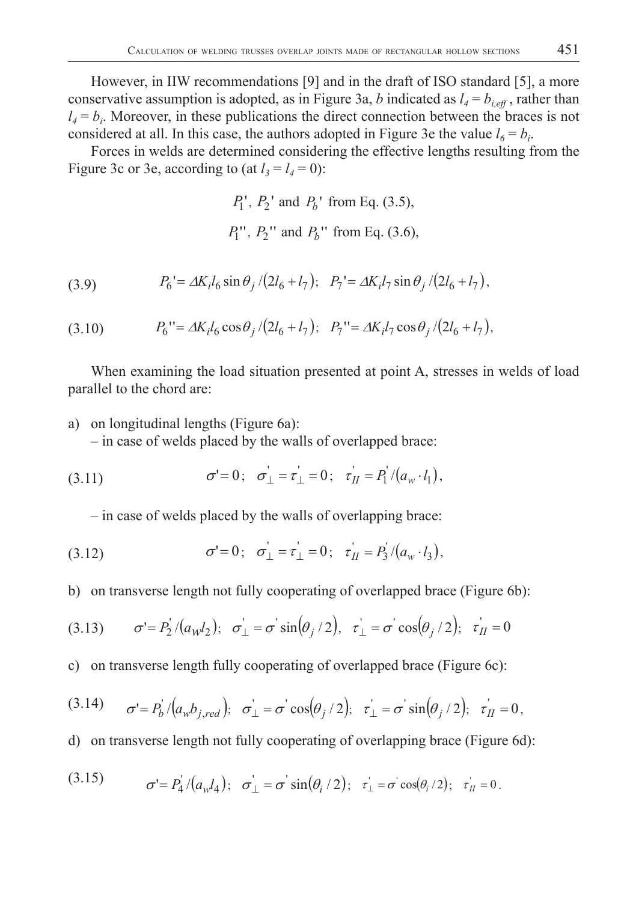However, in IIW recommendations [9] and in the draft of ISO standard [5], a more conservative assumption is adopted, as in Figure 3a, *b* indicated as  $l_4 = b_{i,eff}$ , rather than  $l_4 = b_i$ . Moreover, in these publications the direct connection between the braces is not considered at all. In this case, the authors adopted in Figure 3e the value  $l_6 = b_i$ .

Forces in welds are determined considering the effective lengths resulting from the Figure 3c or 3e, according to (at  $l_3 = l_4 = 0$ ):

> $P_1$ <sup>'</sup>,  $P_2$ <sup>'</sup> and  $P_b$ <sup>'</sup> from Eq. (3.5),  $P_1''$ ,  $P_2''$  and  $P_b''$  from Eq. (3.6),

(3.9) 
$$
P_6' = \Delta K_i l_6 \sin \theta_j / (2l_6 + l_7); \quad P_7' = \Delta K_i l_7 \sin \theta_j / (2l_6 + l_7),
$$

 $P_6$  " =  $\Delta K_i l_6 \cos \theta_i / (2l_6 + l_7);$   $P_7$ " =  $\Delta K_i l_7 \cos \theta_i / (2l_6 + l_7),$ 

When examining the load situation presented at point A, stresses in welds of load parallel to the chord are:

a) on longitudinal lengths (Figure 6a):

– in case of welds placed by the walls of overlapped brace:

(3.11) 
$$
\sigma' = 0; \quad \sigma'_{\perp} = \tau'_{\perp} = 0; \quad \tau'_{II} = P_1'/(a_w \cdot l_1),
$$

– in case of welds placed by the walls of overlapping brace:

(3.12) 
$$
\sigma' = 0; \quad \sigma'_{\perp} = \tau'_{\perp} = 0; \quad \tau'_{II} = P_3 / (a_w \cdot l_3),
$$

b) on transverse length not fully cooperating of overlapped brace (Figure 6b):

(3.13) 
$$
\sigma' = P_2' / (a_W l_2); \quad \sigma_\perp = \sigma' \sin(\theta_j / 2), \quad \tau_\perp = \sigma' \cos(\theta_j / 2); \quad \tau_H = 0
$$

c) on transverse length fully cooperating of overlapped brace (Figure 6c):

(3.14) 
$$
\sigma' = P_b' / (a_w b_{j,red}); \quad \sigma'_{\perp} = \sigma' \cos(\theta_j / 2); \quad \tau'_{\perp} = \sigma' \sin(\theta_j / 2); \quad \tau'_{II} = 0,
$$

d) on transverse length not fully cooperating of overlapping brace (Figure 6d):

(3.15) 
$$
\sigma' = P_4'/(a_w l_4); \quad \sigma_\perp' = \sigma' \sin(\theta_i/2); \quad \tau_\perp' = \sigma' \cos(\theta_i/2); \quad \tau_H' = 0.
$$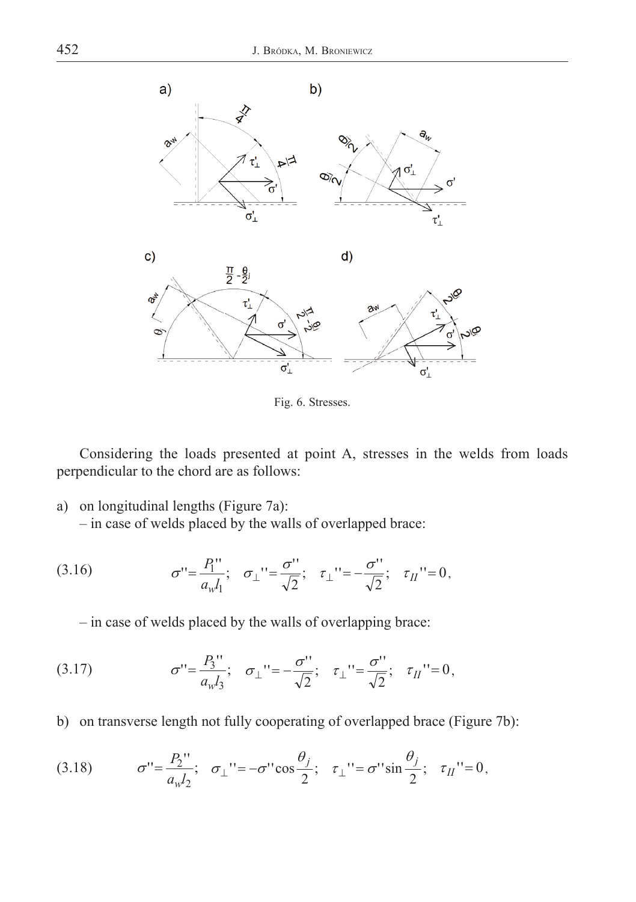

Fig. 6. Stresses.

Considering the loads presented at point A, stresses in the welds from loads perpendicular to the chord are as follows:

a) on longitudinal lengths (Figure 7a):

– in case of welds placed by the walls of overlapped brace:

(3.16) 
$$
\sigma^{\prime\prime} = \frac{P_1^{\prime\prime}}{a_w l_1}; \quad \sigma_{\perp}^{\prime\prime} = \frac{\sigma^{\prime\prime}}{\sqrt{2}}; \quad \tau_{\perp}^{\prime\prime} = -\frac{\sigma^{\prime\prime}}{\sqrt{2}}; \quad \tau_{II}^{\prime\prime} = 0,
$$

– in case of welds placed by the walls of overlapping brace:

(3.17) 
$$
\sigma^{\prime\prime} = \frac{P_3^{\prime\prime}}{a_w l_3}; \quad \sigma_{\perp}^{\prime\prime} = -\frac{\sigma^{\prime\prime}}{\sqrt{2}}; \quad \tau_{\perp}^{\prime\prime} = \frac{\sigma^{\prime\prime}}{\sqrt{2}}; \quad \tau_{II}^{\prime\prime} = 0,
$$

b) on transverse length not fully cooperating of overlapped brace (Figure 7b):

(3.18) 
$$
\sigma'' = \frac{P_2''}{a_w l_2}; \quad \sigma_{\perp}'' = -\sigma'' \cos \frac{\theta_j}{2}; \quad \tau_{\perp}'' = \sigma'' \sin \frac{\theta_j}{2}; \quad \tau_{II}'' = 0,
$$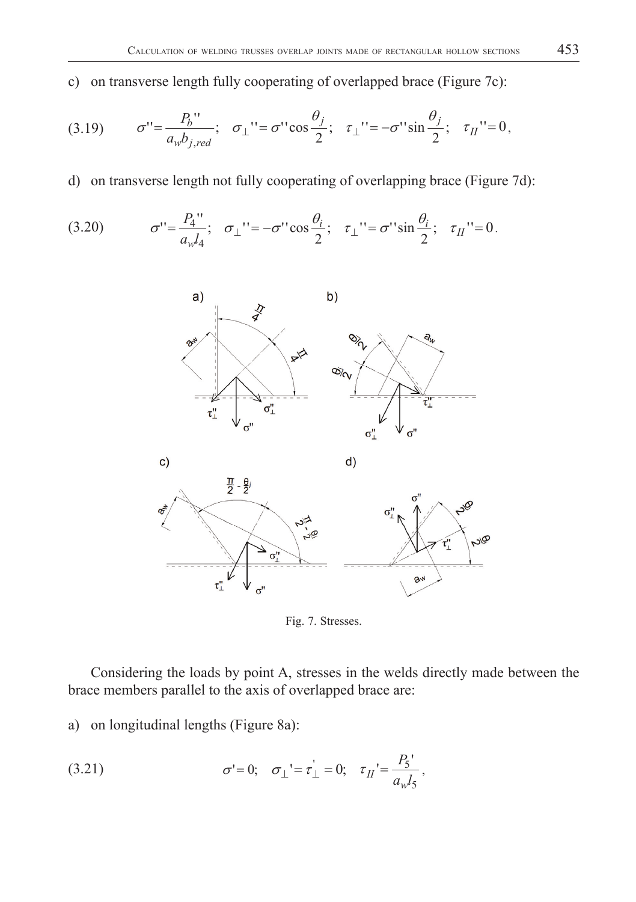c) on transverse length fully cooperating of overlapped brace (Figure 7c):

(3.19) 
$$
\sigma'' = \frac{P_b''}{a_w b_{j,red}}; \quad \sigma_{\perp}'' = \sigma'' \cos \frac{\theta_j}{2}; \quad \tau_{\perp}'' = -\sigma'' \sin \frac{\theta_j}{2}; \quad \tau_{II}'' = 0,
$$

d) on transverse length not fully cooperating of overlapping brace (Figure 7d):

(3.20) 
$$
\sigma^{\prime\prime} = \frac{P_4^{\prime\prime}}{a_w l_4}; \quad \sigma_{\perp}^{\prime\prime} = -\sigma^{\prime\prime} \cos \frac{\theta_i}{2}; \quad \tau_{\perp}^{\prime\prime} = \sigma^{\prime\prime} \sin \frac{\theta_i}{2}; \quad \tau_{II}^{\prime\prime} = 0.
$$



Fig. 7. Stresses.

Considering the loads by point A, stresses in the welds directly made between the brace members parallel to the axis of overlapped brace are:

a) on longitudinal lengths (Figure 8a):

(3.21) 
$$
\sigma' = 0; \quad \sigma_{\perp} = \tau_{\perp} = 0; \quad \tau_{II} = \frac{P_5'}{a_w l_5},
$$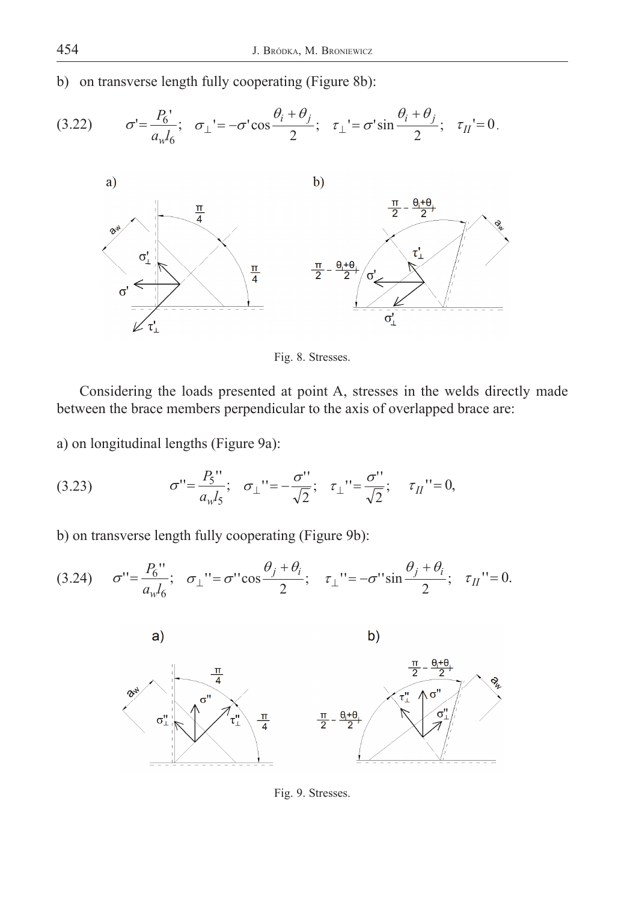b) on transverse length fully cooperating (Figure 8b):





Fig. 8. Stresses.

Considering the loads presented at point A, stresses in the welds directly made between the brace members perpendicular to the axis of overlapped brace are:

a) on longitudinal lengths (Figure 9a):

(3.23) 
$$
\sigma^{\prime\prime} = \frac{P_5^{\prime\prime}}{a_w l_5}; \quad \sigma_{\perp}^{\prime\prime} = -\frac{\sigma^{\prime\prime}}{\sqrt{2}}; \quad \tau_{\perp}^{\prime\prime} = \frac{\sigma^{\prime\prime}}{\sqrt{2}}; \quad \tau_{II}^{\prime\prime} = 0,
$$

b) on transverse length fully cooperating (Figure 9b):

$$
(3.24) \quad \sigma^{\prime\prime} = \frac{P_6^{\prime\prime}}{a_w l_6}; \quad \sigma_\perp^{\prime\prime} = \sigma^{\prime\prime} \cos \frac{\theta_j + \theta_i}{2}; \quad \tau_\perp^{\prime\prime} = -\sigma^{\prime\prime} \sin \frac{\theta_j + \theta_i}{2}; \quad \tau_{II}^{\prime\prime} = 0.
$$



Fig. 9. Stresses.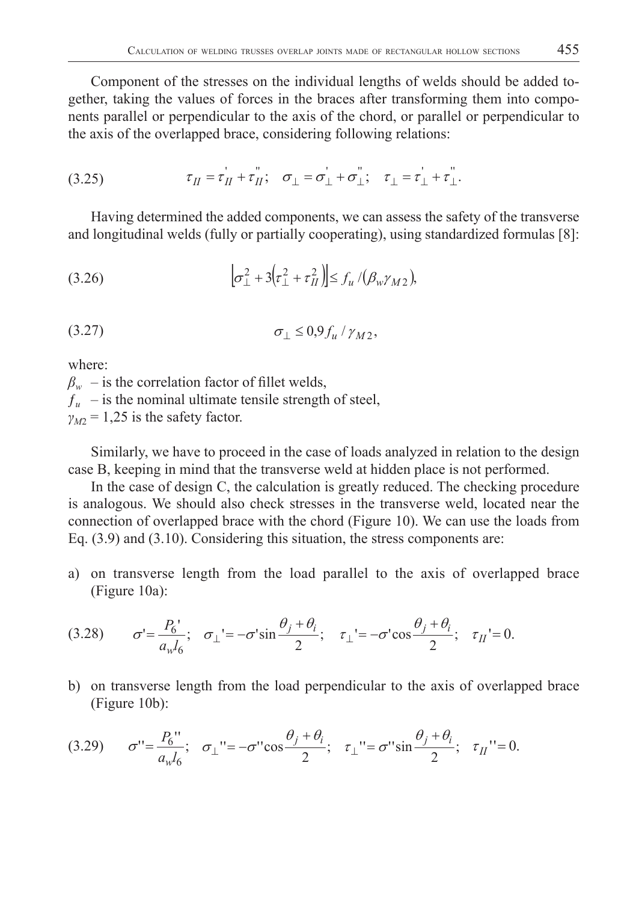Component of the stresses on the individual lengths of welds should be added together, taking the values of forces in the braces after transforming them into components parallel or perpendicular to the axis of the chord, or parallel or perpendicular to the axis of the overlapped brace, considering following relations:

(3.25) 
$$
\tau_{II} = \tau_{II} + \tau_{II}^{\prime}; \quad \sigma_{\perp} = \sigma_{\perp} + \sigma_{\perp}^{\prime}; \quad \tau_{\perp} = \tau_{\perp} + \tau_{\perp}^{\prime}.
$$

Having determined the added components, we can assess the safety of the transverse and longitudinal welds (fully or partially cooperating), using standardized formulas [8]:

$$
(3.26) \qquad \qquad [\sigma_\perp^2 + 3(r_\perp^2 + r_H^2)] \leq f_u / (\beta_w \gamma_{M2}),
$$

$$
\sigma_{\perp} \leq 0.9 f_u / \gamma_{M2},
$$

where:

 $\beta_w$  – is the correlation factor of fillet welds,  $f_u$  – is the nominal ultimate tensile strength of steel,  $\gamma_{M2}$  = 1,25 is the safety factor.

Similarly, we have to proceed in the case of loads analyzed in relation to the design case B, keeping in mind that the transverse weld at hidden place is not performed.

In the case of design C, the calculation is greatly reduced. The checking procedure is analogous. We should also check stresses in the transverse weld, located near the connection of overlapped brace with the chord (Figure 10). We can use the loads from Eq. (3.9) and (3.10). Considering this situation, the stress components are:

a) on transverse length from the load parallel to the axis of overlapped brace (Figure 10a):

$$
(3.28) \qquad \sigma' = \frac{P_6'}{a_w l_6}; \quad \sigma_\perp' = -\sigma' \sin \frac{\theta_j + \theta_i}{2}; \quad \tau_\perp' = -\sigma' \cos \frac{\theta_j + \theta_i}{2}; \quad \tau_{II} = 0.
$$

b) on transverse length from the load perpendicular to the axis of overlapped brace (Figure 10b):

$$
(3.29) \qquad \sigma^{\prime\prime} = \frac{P_6^{\prime\prime}}{a_w l_6}; \quad \sigma_\perp^{\prime\prime} = -\sigma^{\prime\prime} \cos \frac{\theta_j + \theta_i}{2}; \quad \tau_\perp^{\prime\prime} = \sigma^{\prime\prime} \sin \frac{\theta_j + \theta_i}{2}; \quad \tau_{II}^{\prime\prime} = 0.
$$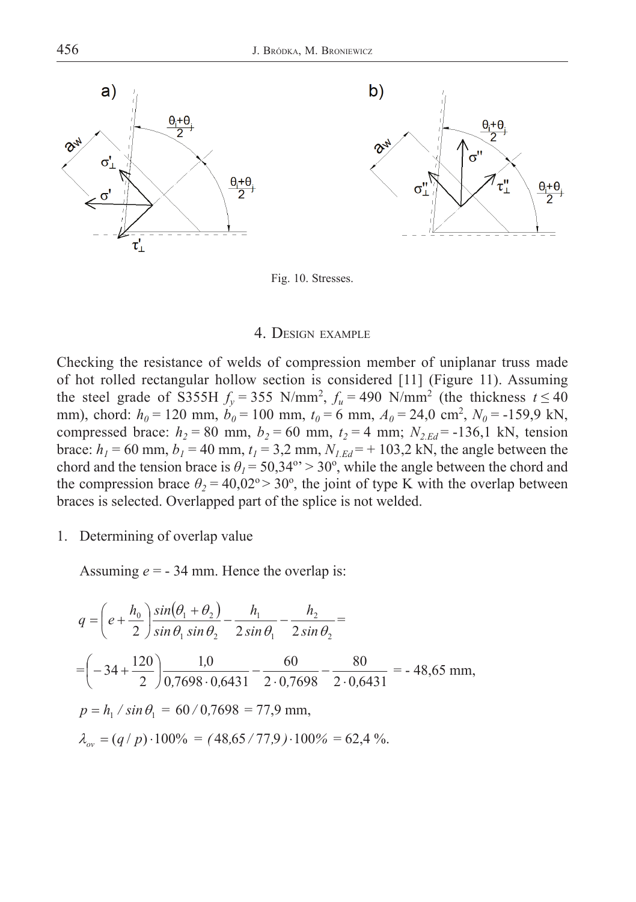



Fig. 10. Stresses.

## 4. DESIGN EXAMPLE

Checking the resistance of welds of compression member of uniplanar truss made of hot rolled rectangular hollow section is considered [11] (Figure 11). Assuming the steel grade of S355H  $f_y = 355$  N/mm<sup>2</sup>,  $f_u = 490$  N/mm<sup>2</sup> (the thickness  $t \le 40$ mm), chord:  $h_0 = 120$  mm,  $b_0 = 100$  mm,  $t_0 = 6$  mm,  $A_0 = 24.0$  cm<sup>2</sup>,  $N_0 = -159.9$  kN, compressed brace:  $h_2 = 80$  mm,  $b_2 = 60$  mm,  $t_2 = 4$  mm;  $N_{2,Ed} = -136,1$  kN, tension brace:  $h_1 = 60$  mm,  $b_1 = 40$  mm,  $t_1 = 3.2$  mm,  $N_{1.Ed} = +103.2$  kN, the angle between the chord and the tension brace is  $\theta$ <sup>1</sup> = 50,34°' > 30°, while the angle between the chord and the compression brace  $\theta_2 = 40,02^\circ > 30^\circ$ , the joint of type K with the overlap between braces is selected. Overlapped part of the splice is not welded.

1. Determining of overlap value

Assuming  $e = -34$  mm. Hence the overlap is:

$$
q = \left(e + \frac{h_0}{2}\right) \frac{\sin(\theta_1 + \theta_2)}{\sin \theta_1 \sin \theta_2} - \frac{h_1}{2 \sin \theta_1} - \frac{h_2}{2 \sin \theta_2} =
$$
  
=  $\left(-34 + \frac{120}{2}\right) \frac{1,0}{0,7698 \cdot 0,6431} - \frac{60}{2 \cdot 0,7698} - \frac{80}{2 \cdot 0,6431} = -48,65 \text{ mm},$   
 $p = h_1 / \sin \theta_1 = 60 / 0,7698 = 77,9 \text{ mm},$   
 $\lambda_{ov} = (q/p) \cdot 100\% = (48,65 / 77,9) \cdot 100\% = 62,4 \text{ %}.$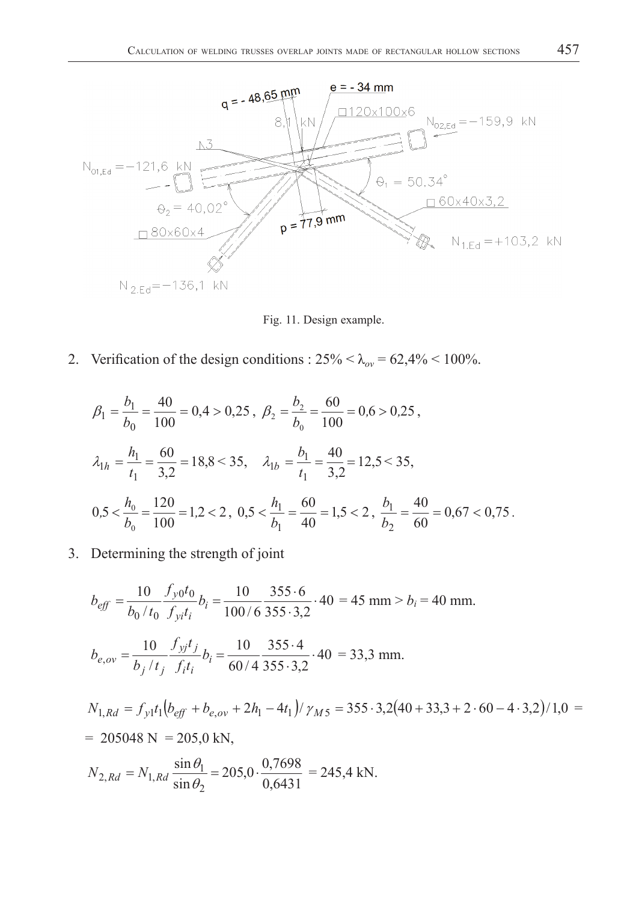

Fig. 11. Design example.

2. Verification of the design conditions :  $25\% < \lambda_{ov} = 62{,}4\% < 100\%$ .

$$
\beta_1 = \frac{b_1}{b_0} = \frac{40}{100} = 0,4 > 0,25, \ \beta_2 = \frac{b_2}{b_0} = \frac{60}{100} = 0,6 > 0,25,
$$
  

$$
\lambda_{1h} = \frac{h_1}{t_1} = \frac{60}{3,2} = 18,8 < 35, \quad \lambda_{1b} = \frac{b_1}{t_1} = \frac{40}{3,2} = 12,5 < 35,
$$
  

$$
0.5 < \frac{h_0}{b_0} = \frac{120}{100} = 1,2 < 2, \ 0.5 < \frac{h_1}{b_1} = \frac{60}{40} = 1,5 < 2, \ \frac{b_1}{b_2} = \frac{40}{60} = 0,67 < 0,75.
$$

3. Determining the strength of joint

$$
b_{eff} = \frac{10}{b_0/t_0} \frac{f_{y0}t_0}{f_{yi}t_i} b_i = \frac{10}{100/6} \frac{355 \cdot 6}{355 \cdot 3,2} \cdot 40 = 45 \text{ mm} > b_i = 40 \text{ mm}.
$$
  
\n
$$
b_{e,ov} = \frac{10}{b_j/t_j} \frac{f_{yj}t_j}{f_it_i} b_i = \frac{10}{60/4} \frac{355 \cdot 4}{355 \cdot 3,2} \cdot 40 = 33,3 \text{ mm}.
$$
  
\n
$$
N_{1, Rd} = f_{y1}t_1 \left( b_{eff} + b_{e,ov} + 2h_1 - 4t_1 \right) / \gamma_{M5} = 355 \cdot 3,2 \left( 40 + 33,3 + 2 \cdot 60 - 4 \cdot 3,2 \right) / 1,0 = 205048 \text{ N} = 205,0 \text{ kN},
$$
  
\n
$$
N_{2, Rd} = N_{1, Rd} \frac{\sin \theta_1}{\sin \theta_2} = 205,0 \cdot \frac{0,7698}{0,6431} = 245,4 \text{ kN}.
$$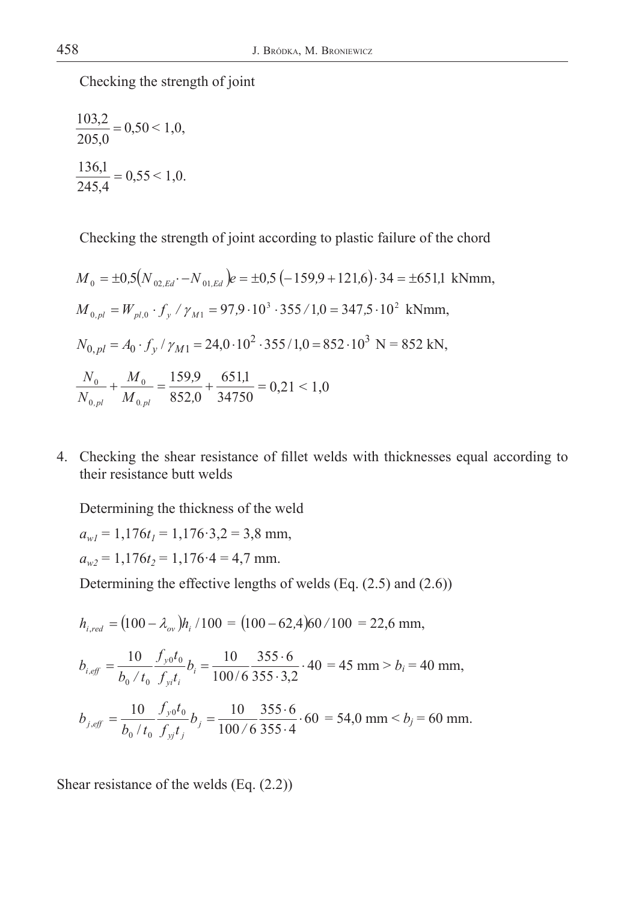Checking the strength of joint

$$
\frac{103,2}{205,0} = 0,50 < 1,0,
$$
\n
$$
\frac{136,1}{245,4} = 0,55 < 1,0.
$$

Checking the strength of joint according to plastic failure of the chord

$$
M_0 = \pm 0.5(N_{02,Ed} - N_{01,Ed})e = \pm 0.5(-159.9 + 121.6) \cdot 34 = \pm 651.1 \text{ kNmm},
$$
  
\n
$$
M_{0,pl} = W_{pl,0} \cdot f_y / \gamma_{M1} = 97.9 \cdot 10^3 \cdot 355 / 1.0 = 347.5 \cdot 10^2 \text{ kNmm},
$$
  
\n
$$
N_{0,pl} = A_0 \cdot f_y / \gamma_{M1} = 24.0 \cdot 10^2 \cdot 355 / 1.0 = 852 \cdot 10^3 \text{ N} = 852 \text{ kN},
$$
  
\n
$$
\frac{N_0}{N_{0,pl}} + \frac{M_0}{M_{0,pl}} = \frac{159.9}{852.0} + \frac{651.1}{34750} = 0.21 < 1.0
$$

4. Checking the shear resistance of fillet welds with thicknesses equal according to their resistance butt welds

Determining the thickness of the weld

 $a_{wl} = 1,176t_1 = 1,176.3,2 = 3,8$  mm,  $a_{w2} = 1,176t_2 = 1,176.4 = 4,7$  mm.

Determining the effective lengths of welds (Eq. (2.5) and (2.6))

$$
h_{i,red} = (100 - \lambda_{ov})h_i/100 = (100 - 62,4)60/100 = 22,6 \text{ mm},
$$

$$
b_{i,eff} = \frac{10}{b_0 / t_0} \frac{f_{y0} t_0}{f_{yi} t_i} b_i = \frac{10}{100 / 6} \frac{355 \cdot 6}{355 \cdot 3,2} \cdot 40 = 45 \text{ mm} > b_i = 40 \text{ mm},
$$
  

$$
b_{j,eff} = \frac{10}{b_0 / t_0} \frac{f_{y0} t_0}{f_{yj} t_j} b_j = \frac{10}{100 / 6} \frac{355 \cdot 6}{355 \cdot 4} \cdot 60 = 54,0 \text{ mm} < b_j = 60 \text{ mm}.
$$

Shear resistance of the welds (Eq. (2.2))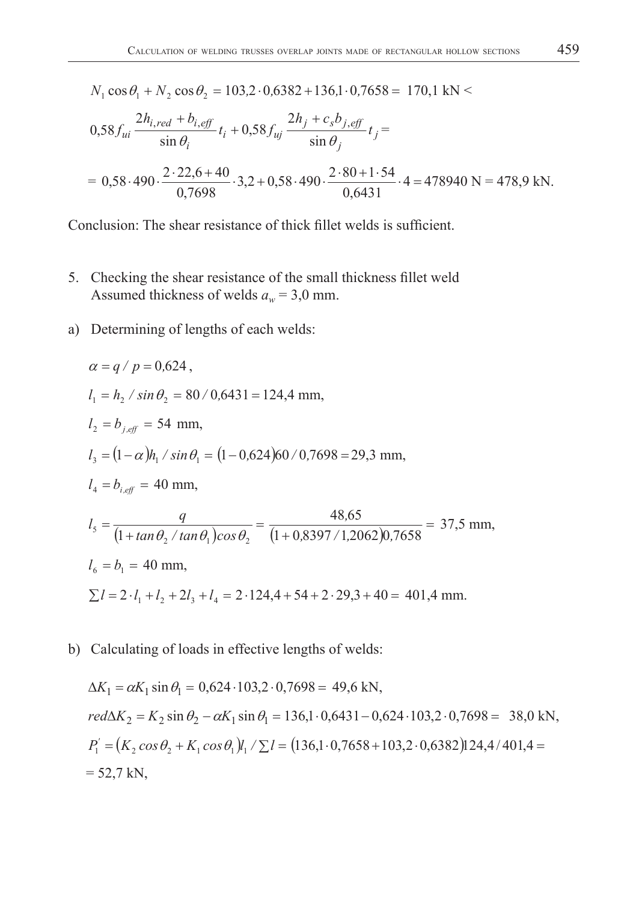$N_1 \cos \theta_1 + N_2 \cos \theta_2 = 103,2 \cdot 0,6382 + 136,1 \cdot 0,7658 = 170,1 \text{ kN}$ 

$$
0.58 f_{ui} \frac{2h_{i,red} + b_{i,eff}}{\sin \theta_i} t_i + 0.58 f_{uj} \frac{2h_j + c_s b_{j,eff}}{\sin \theta_j} t_j =
$$
  
= 0.58.490.  $\frac{2.22.6 + 40}{0.7698} \cdot 3.2 + 0.58.490 \cdot \frac{2.80 + 1.54}{0.6431} \cdot 4 = 478940 \text{ N} = 478.9 \text{ kN}.$ 

Conclusion: The shear resistance of thick fillet welds is sufficient.

- 5. Checking the shear resistance of the small thickness fillet weld Assumed thickness of welds  $a_w = 3.0$  mm.
- a) Determining of lengths of each welds:

$$
\alpha = q / p = 0,624,
$$
  
\n
$$
l_1 = h_2 / \sin \theta_2 = 80 / 0,6431 = 124,4 \text{ mm},
$$
  
\n
$$
l_2 = b_{j,eff} = 54 \text{ mm},
$$
  
\n
$$
l_3 = (1 - \alpha)h_1 / \sin \theta_1 = (1 - 0,624)60 / 0,7698 = 29,3 \text{ mm},
$$
  
\n
$$
l_4 = b_{i,eff} = 40 \text{ mm},
$$
  
\n
$$
l_5 = \frac{q}{(1 + \tan \theta_2 / \tan \theta_1) \cos \theta_2} = \frac{48,65}{(1 + 0,8397 / 1,2062)0,7658} = 37,5 \text{ mm},
$$
  
\n
$$
l_6 = b_1 = 40 \text{ mm},
$$
  
\n
$$
\sum l = 2 \cdot l_1 + l_2 + 2l_3 + l_4 = 2 \cdot 124,4 + 54 + 2 \cdot 29,3 + 40 = 401,4 \text{ mm}.
$$

b) Calculating of loads in effective lengths of welds:

$$
\Delta K_1 = \alpha K_1 \sin \theta_1 = 0,624 \cdot 103,2 \cdot 0,7698 = 49,6 \text{ kN},
$$
  
\n
$$
red \Delta K_2 = K_2 \sin \theta_2 - \alpha K_1 \sin \theta_1 = 136,1 \cdot 0,6431 - 0,624 \cdot 103,2 \cdot 0,7698 = 38,0 \text{ kN},
$$
  
\n
$$
P_1' = (K_2 \cos \theta_2 + K_1 \cos \theta_1)l_1 / \sum l = (136,1 \cdot 0,7658 + 103,2 \cdot 0,6382)124,4/401,4 =
$$
  
\n= 52,7 kN,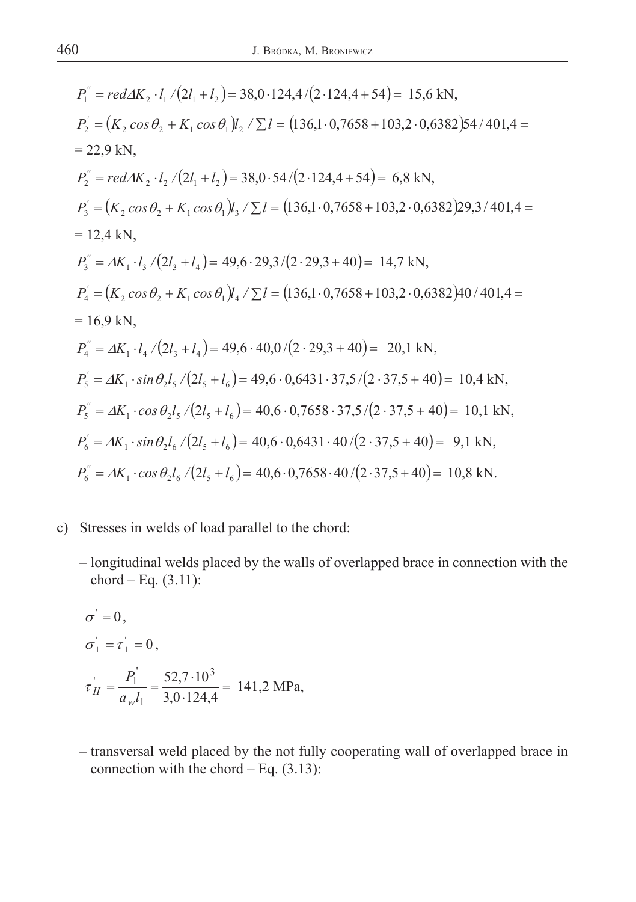$$
P_1^{\prime\prime} = red\Delta K_2 \cdot l_1/(2l_1 + l_2) = 38,0.124,4/(2.124,4+54) = 15,6 \text{ kN},
$$
  
\n
$$
P_2^{\prime\prime} = (K_2 \cos \theta_2 + K_1 \cos \theta_1)l_2 / \sum l = (136,1.0,7658+103,2.0,6382)54/401,4 =
$$
  
\n
$$
= 22,9 \text{ kN},
$$
  
\n
$$
P_2^{\prime\prime} = red\Delta K_2 \cdot l_2/(2l_1 + l_2) = 38,0.54/(2.124,4+54) = 6,8 \text{ kN},
$$
  
\n
$$
P_3^{\prime\prime} = (K_2 \cos \theta_2 + K_1 \cos \theta_1)l_3 / \sum l = (136,1.0,7658+103,2.0,6382)29,3/401,4 =
$$
  
\n
$$
= 12,4 \text{ kN},
$$
  
\n
$$
P_3^{\prime\prime} = \Delta K_1 \cdot l_3/(2l_3 + l_4) = 49,6.29,3/(2.29,3+40) = 14,7 \text{ kN},
$$
  
\n
$$
P_4^{\prime\prime} = (K_2 \cos \theta_2 + K_1 \cos \theta_1)l_4 / \sum l = (136,1.0,7658+103,2.0,6382)40/401,4 =
$$
  
\n
$$
= 16,9 \text{ kN},
$$
  
\n
$$
P_4^{\prime\prime} = \Delta K_1 \cdot l_4/(2l_3 + l_4) = 49,6.40,0/(2.29,3+40) = 20,1 \text{ kN},
$$
  
\n
$$
P_5^{\prime\prime} = \Delta K_1 \cdot \sin \theta_2 l_5/(2l_5 + l_6) = 49,6.0,6431 \cdot 37,5/(2.37,5+40) = 10,4 \text{ kN},
$$
  
\n
$$
P_5^{\prime\prime} = \Delta K_1 \cdot \cos \theta_2 l_5/(
$$

- c) Stresses in welds of load parallel to the chord:
	- longitudinal welds placed by the walls of overlapped brace in connection with the chord – Eq.  $(3.11)$ :

$$
\sigma' = 0,
$$
  
\n
$$
\sigma'_{\perp} = \tau'_{\perp} = 0,
$$
  
\n
$$
\tau'_{II} = \frac{P_1^{'}}{a_w l_1} = \frac{52,7 \cdot 10^3}{3,0 \cdot 124,4} = 141,2 \text{ MPa},
$$

 – transversal weld placed by the not fully cooperating wall of overlapped brace in connection with the chord  $-$  Eq.  $(3.13)$ :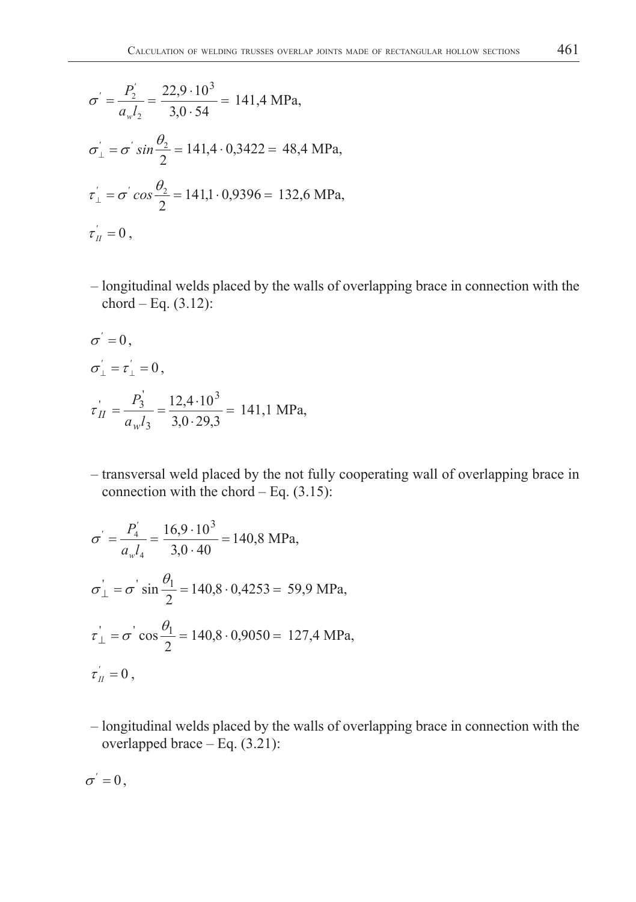$$
\sigma' = \frac{P_2'}{a_w l_2} = \frac{22.9 \cdot 10^3}{3.0 \cdot 54} = 141.4 \text{ MPa},
$$
  
\n
$$
\sigma_{\perp} = \sigma' \sin \frac{\theta_2}{2} = 141.4 \cdot 0.3422 = 48.4 \text{ MPa},
$$
  
\n
$$
\tau_{\perp} = \sigma' \cos \frac{\theta_2}{2} = 141.1 \cdot 0.9396 = 132.6 \text{ MPa},
$$
  
\n
$$
\tau_{\parallel} = 0,
$$

 – longitudinal welds placed by the walls of overlapping brace in connection with the chord – Eq.  $(3.12)$ :

$$
\sigma' = 0,
$$
  
\n
$$
\sigma'_{\perp} = \tau'_{\perp} = 0,
$$
  
\n
$$
\tau'_{II} = \frac{P_3^{'}}{a_w l_3} = \frac{12,4 \cdot 10^3}{3,0 \cdot 29,3} = 141,1 \text{ MPa},
$$

 – transversal weld placed by the not fully cooperating wall of overlapping brace in connection with the chord  $-$  Eq.  $(3.15)$ :

$$
\sigma' = \frac{P_4^{'}}{a_w l_4} = \frac{16,9 \cdot 10^3}{3,0 \cdot 40} = 140,8 \text{ MPa},
$$
  
\n
$$
\sigma_{\perp}^{'} = \sigma^{'} \sin \frac{\theta_1}{2} = 140,8 \cdot 0,4253 = 59,9 \text{ MPa},
$$
  
\n
$$
\tau_{\perp}^{'} = \sigma^{'} \cos \frac{\theta_1}{2} = 140,8 \cdot 0,9050 = 127,4 \text{ MPa},
$$
  
\n
$$
\tau_{\parallel}^{'} = 0,
$$

 – longitudinal welds placed by the walls of overlapping brace in connection with the overlapped brace – Eq. (3.21):

$$
\sigma^{'}=0\,,
$$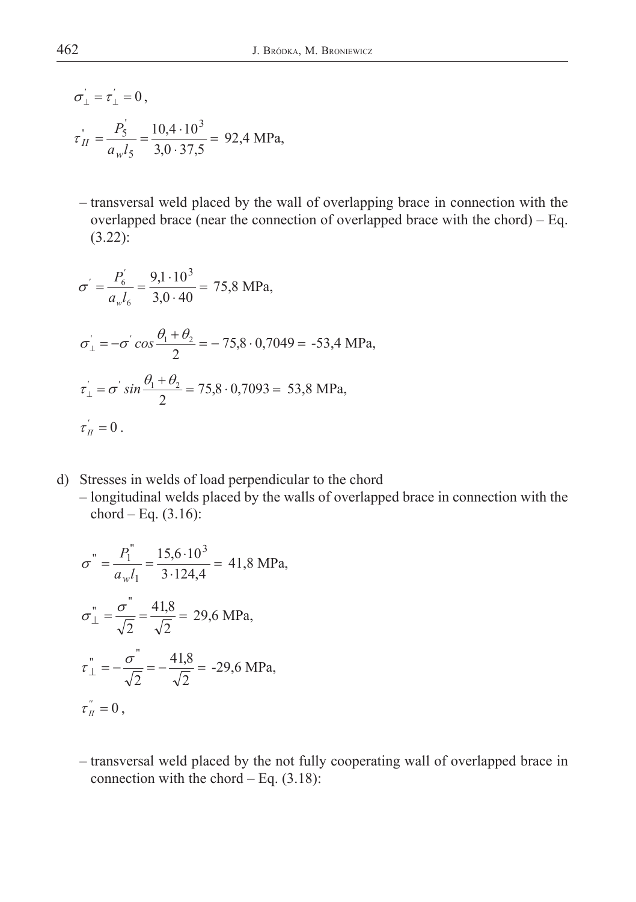$$
\sigma'_{\perp} = \tau'_{\perp} = 0,
$$
  
\n $\tau'_{II} = \frac{P_5'}{a_w l_5} = \frac{10,4 \cdot 10^3}{3,0 \cdot 37,5} = 92,4 \text{ MPa},$ 

 – transversal weld placed by the wall of overlapping brace in connection with the overlapped brace (near the connection of overlapped brace with the chord)  $-$  Eq. (3.22):

$$
\sigma' = \frac{P_6'}{a_w l_6} = \frac{9,1 \cdot 10^3}{3,0 \cdot 40} = 75,8 \text{ MPa},
$$
  
\n
$$
\sigma'_\perp = -\sigma' \cos \frac{\theta_1 + \theta_2}{2} = -75,8 \cdot 0,7049 = -53,4 \text{ MPa},
$$
  
\n
$$
\tau'_\perp = \sigma' \sin \frac{\theta_1 + \theta_2}{2} = 75,8 \cdot 0,7093 = 53,8 \text{ MPa},
$$
  
\n
$$
\tau'_\perp = 0.
$$

- d) Stresses in welds of load perpendicular to the chord
	- longitudinal welds placed by the walls of overlapped brace in connection with the chord – Eq.  $(3.16)$ :

$$
\sigma^{"} = \frac{P_1^{"}}{a_w l_1} = \frac{15,6 \cdot 10^3}{3 \cdot 124,4} = 41,8 \text{ MPa},
$$
  

$$
\sigma^{"}_{\perp} = \frac{\sigma^{"}}{\sqrt{2}} = \frac{41,8}{\sqrt{2}} = 29,6 \text{ MPa},
$$
  

$$
\tau^{"}_{\perp} = -\frac{\sigma^{"}}{\sqrt{2}} = -\frac{41,8}{\sqrt{2}} = -29,6 \text{ MPa},
$$
  

$$
\tau^{"}_{\parallel} = 0,
$$

 – transversal weld placed by the not fully cooperating wall of overlapped brace in connection with the chord  $-$  Eq.  $(3.18)$ :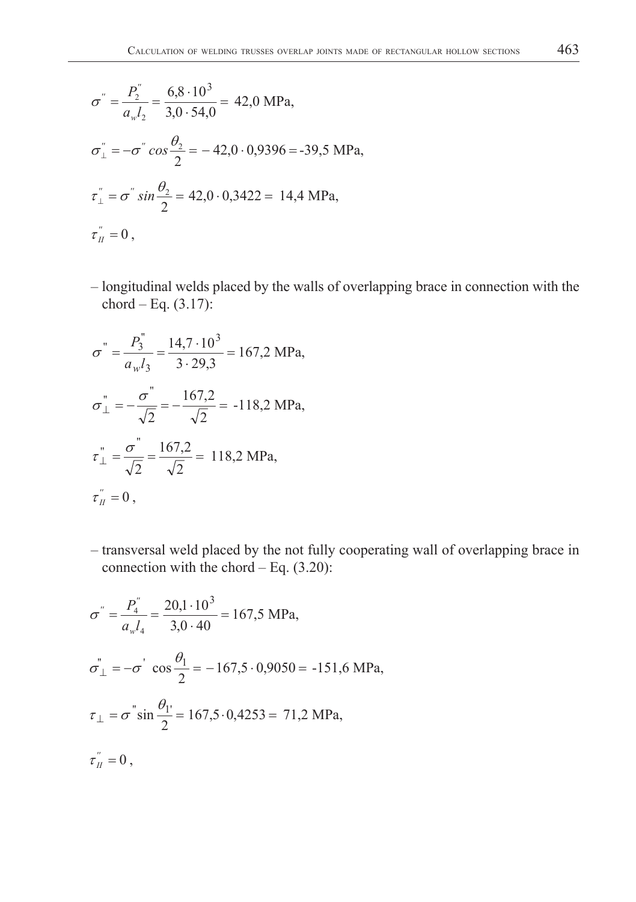$$
\sigma^{"} = \frac{P_2^{"}}{a_w l_2} = \frac{6,8 \cdot 10^3}{3,0 \cdot 54,0} = 42,0 \text{ MPa},
$$
  
\n
$$
\sigma_{\perp}^{"} = -\sigma^{"} \cos \frac{\theta_2}{2} = -42,0 \cdot 0,9396 = -39,5 \text{ MPa},
$$
  
\n
$$
\tau_{\perp}^{"} = \sigma^{"} \sin \frac{\theta_2}{2} = 42,0 \cdot 0,3422 = 14,4 \text{ MPa},
$$
  
\n
$$
\tau_{\parallel}^{"} = 0,
$$

 – longitudinal welds placed by the walls of overlapping brace in connection with the chord – Eq.  $(3.17)$ :

$$
\sigma^{"} = \frac{P_3^{"}}{a_w l_3} = \frac{14, 7 \cdot 10^3}{3 \cdot 29, 3} = 167, 2 \text{ MPa},
$$
  

$$
\sigma^{"}_{\perp} = -\frac{\sigma^{"}}{\sqrt{2}} = -\frac{167, 2}{\sqrt{2}} = -118, 2 \text{ MPa},
$$
  

$$
\tau^{"}_{\perp} = \frac{\sigma^{"}}{\sqrt{2}} = \frac{167, 2}{\sqrt{2}} = 118, 2 \text{ MPa},
$$
  

$$
\tau^{"}_{\parallel} = 0,
$$

 – transversal weld placed by the not fully cooperating wall of overlapping brace in connection with the chord  $-$  Eq.  $(3.20)$ :

$$
\sigma^{"} = \frac{P_4^{"}}{a_w l_4} = \frac{20,1 \cdot 10^3}{3,0 \cdot 40} = 167,5 \text{ MPa},
$$
  
\n
$$
\sigma_{\perp}^{"} = -\sigma^{"} \cos \frac{\theta_1}{2} = -167,5 \cdot 0,9050 = -151,6 \text{ MPa},
$$
  
\n
$$
\tau_{\perp} = \sigma^{"} \sin \frac{\theta_1}{2} = 167,5 \cdot 0,4253 = 71,2 \text{ MPa},
$$
  
\n
$$
\tau_{\parallel}^{"} = 0,
$$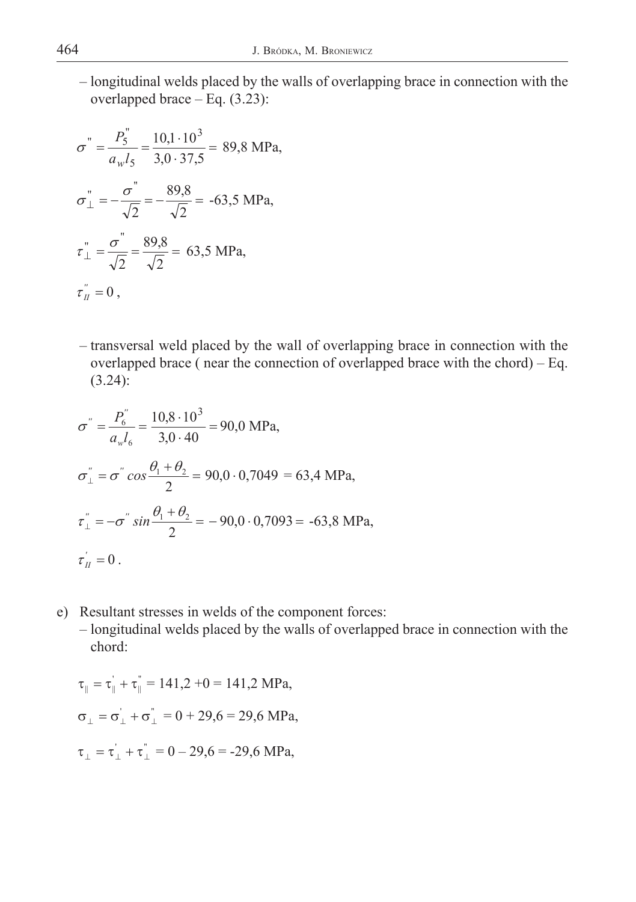– longitudinal welds placed by the walls of overlapping brace in connection with the overlapped brace – Eq. (3.23):

$$
\sigma^{"} = \frac{P_5^{"}}{a_w l_5} = \frac{10,1 \cdot 10^3}{3,0 \cdot 37,5} = 89,8 \text{ MPa},
$$
  

$$
\sigma^{"}_{\perp} = -\frac{\sigma^{"}}{\sqrt{2}} = -\frac{89,8}{\sqrt{2}} = -63,5 \text{ MPa},
$$
  

$$
\tau^{"}_{\perp} = \frac{\sigma^{"}}{\sqrt{2}} = \frac{89,8}{\sqrt{2}} = 63,5 \text{ MPa},
$$
  

$$
\tau^{"}_{\parallel} = 0,
$$

 – transversal weld placed by the wall of overlapping brace in connection with the overlapped brace ( near the connection of overlapped brace with the chord) – Eq. (3.24):

$$
\sigma'' = \frac{P_6''}{a_w l_6} = \frac{10,8 \cdot 10^3}{3,0 \cdot 40} = 90,0 \text{ MPa},
$$
  
\n
$$
\sigma''_{\perp} = \sigma'' \cos \frac{\theta_1 + \theta_2}{2} = 90,0 \cdot 0,7049 = 63,4 \text{ MPa},
$$
  
\n
$$
\tau''_{\perp} = -\sigma'' \sin \frac{\theta_1 + \theta_2}{2} = -90,0 \cdot 0,7093 = -63,8 \text{ MPa},
$$
  
\n
$$
\tau''_{\perp} = 0.
$$

- e) Resultant stresses in welds of the component forces:
	- longitudinal welds placed by the walls of overlapped brace in connection with the chord:

$$
\tau_{\parallel} = \tau_{\parallel}^{'} + \tau_{\parallel}^{''} = 141,2 + 0 = 141,2 \text{ MPa},
$$
  

$$
\sigma_{\perp} = \sigma_{\perp}^{'} + \sigma_{\perp}^{''} = 0 + 29,6 = 29,6 \text{ MPa},
$$
  

$$
\tau_{\perp} = \tau_{\perp}^{'} + \tau_{\perp}^{''} = 0 - 29,6 = -29,6 \text{ MPa},
$$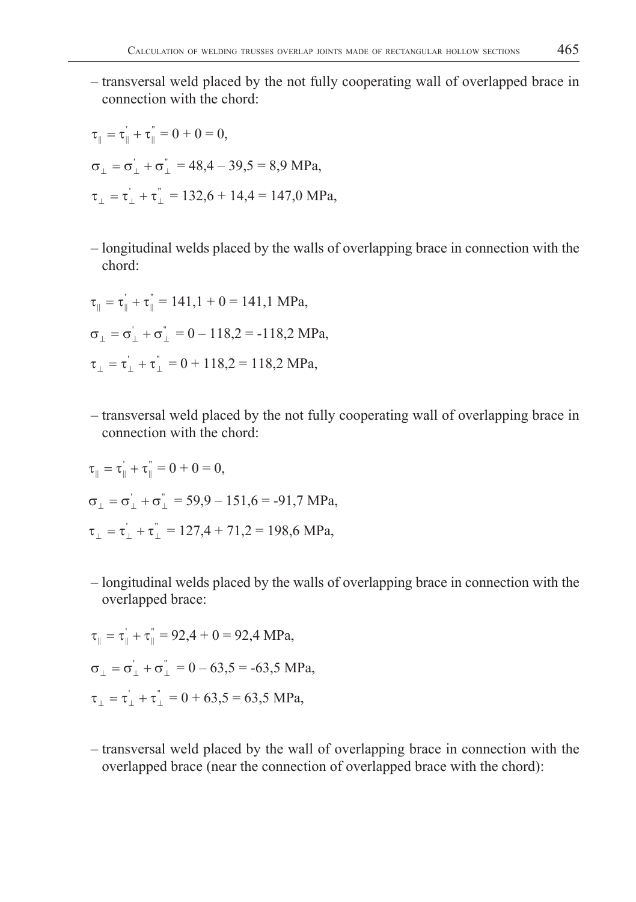– transversal weld placed by the not fully cooperating wall of overlapped brace in connection with the chord:

$$
\tau_{\parallel} = \tau_{\parallel} + \tau_{\parallel}^* = 0 + 0 = 0,
$$
  
\n
$$
\sigma_{\perp} = \sigma_{\perp}^{\prime} + \sigma_{\perp}^* = 48,4 - 39,5 = 8,9 \text{ MPa},
$$
  
\n
$$
\tau_{\perp} = \tau_{\perp}^{\prime} + \tau_{\perp}^* = 132,6 + 14,4 = 147,0 \text{ MPa},
$$

 – longitudinal welds placed by the walls of overlapping brace in connection with the chord:

$$
\tau_{\parallel} = \tau_{\parallel} + \tau_{\parallel}^{\parallel} = 141, 1 + 0 = 141, 1 \text{ MPa},
$$
  
\n
$$
\sigma_{\perp} = \sigma_{\perp}^{\prime} + \sigma_{\perp}^{\prime} = 0 - 118, 2 = -118, 2 \text{ MPa},
$$
  
\n
$$
\tau_{\perp} = \tau_{\perp}^{\prime} + \tau_{\perp}^{\prime} = 0 + 118, 2 = 118, 2 \text{ MPa},
$$

'''.

**'** .

 – transversal weld placed by the not fully cooperating wall of overlapping brace in connection with the chord:

$$
\tau_{\parallel} = \tau_{\parallel}^{'} + \tau_{\parallel}^{''} = 0 + 0 = 0,
$$
  
\n
$$
\sigma_{\perp} = \sigma_{\perp}^{'} + \sigma_{\perp}^{''} = 59,9 - 151,6 = -91,7 \text{ MPa},
$$
  
\n
$$
\tau_{\perp} = \tau_{\perp}^{'} + \tau_{\perp}^{''} = 127,4 + 71,2 = 198,6 \text{ MPa},
$$

 – longitudinal welds placed by the walls of overlapping brace in connection with the overlapped brace:

$$
\tau_{\parallel} = \tau_{\parallel}^{'} + \tau_{\parallel}^{''} = 92,4 + 0 = 92,4 \text{ MPa},
$$
  
\n
$$
\sigma_{\perp} = \sigma_{\perp}^{'} + \sigma_{\perp}^{''} = 0 - 63,5 = -63,5 \text{ MPa},
$$
  
\n
$$
\tau_{\perp} = \tau_{\perp}^{'} + \tau_{\perp}^{''} = 0 + 63,5 = 63,5 \text{ MPa},
$$

 – transversal weld placed by the wall of overlapping brace in connection with the overlapped brace (near the connection of overlapped brace with the chord):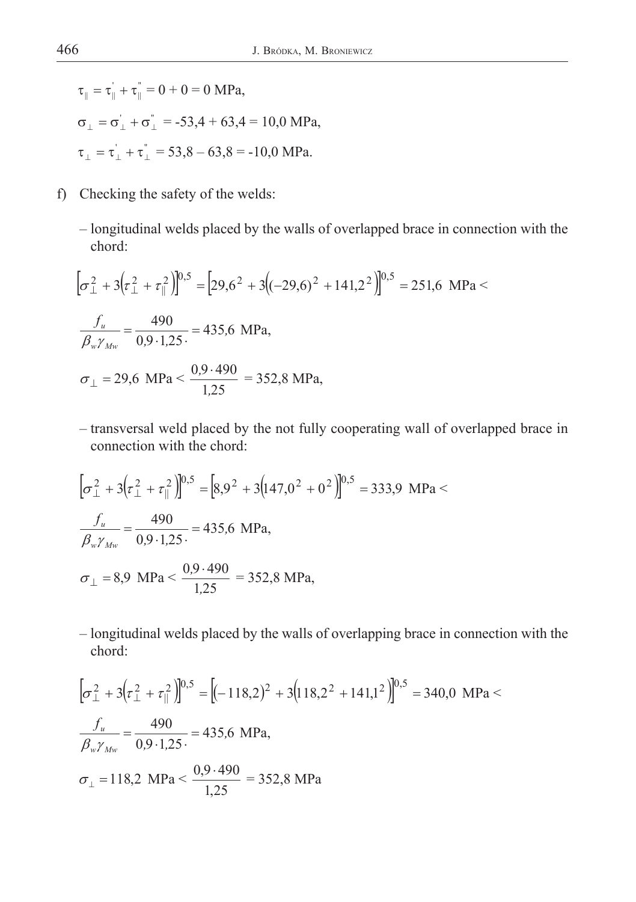$\tau_{\parallel} = \tau_{\parallel} + \tau_{\parallel}^{\dagger} = 0 + 0 = 0$  MPa,  $\sigma_{\perp} = \sigma_{\perp} + \sigma_{\perp}^{\dagger} = -53,4 + 63,4 = 10,0 \text{ MPa},$  $\tau_{\perp} = \tau_{\perp}^{\dagger} + \tau_{\perp}^{\dagger} = 53,8 - 63,8 = -10,0 \text{ MPa}.$ 

- f) Checking the safety of the welds:
	- longitudinal welds placed by the walls of overlapped brace in connection with the chord:

$$
\left[\sigma_{\perp}^{2} + 3\left(\tau_{\perp}^{2} + \tau_{\parallel}^{2}\right)\right]^{0,5} = \left[29,6^{2} + 3\left((-29,6)^{2} + 141,2^{2}\right)\right]^{0,5} = 251,6 \text{ MPa} \n\frac{f_{u}}{\beta_{w}\gamma_{Mw}} = \frac{490}{0,9.1,25} = 435,6 \text{ MPa},
$$
\n
$$
\sigma_{\perp} = 29,6 \text{ MPa} < \frac{0,9.490}{1,25} = 352,8 \text{ MPa},
$$

 – transversal weld placed by the not fully cooperating wall of overlapped brace in connection with the chord:

$$
\left[\sigma_{\perp}^{2} + 3\left(\tau_{\perp}^{2} + \tau_{\parallel}^{2}\right)\right]^{0.5} = \left[8,9^{2} + 3\left(147,0^{2} + 0^{2}\right)\right]^{0.5} = 333,9 \text{ MPa} \n\frac{f_{u}}{\beta_{w}\gamma_{Mw}} = \frac{490}{0.9 \cdot 1.25} = 435,6 \text{ MPa},
$$
\n
$$
\sigma_{\perp} = 8,9 \text{ MPa} < \frac{0.9 \cdot 490}{1.25} = 352,8 \text{ MPa},
$$

 – longitudinal welds placed by the walls of overlapping brace in connection with the chord:

$$
\left[\sigma_{\perp}^{2} + 3\left(\tau_{\perp}^{2} + \tau_{\parallel}^{2}\right)\right]^{0.5} = \left[(-118,2)^{2} + 3\left(118,2^{2} + 141,1^{2}\right)\right]^{0.5} = 340,0 \text{ MPa} \n\frac{f_{u}}{\beta_{w}\gamma_{Mw}} = \frac{490}{0.9 \cdot 1.25} = 435,6 \text{ MPa},
$$
\n
$$
\sigma_{\perp} = 118,2 \text{ MPa} < \frac{0.9 \cdot 490}{1.25} = 352,8 \text{ MPa}
$$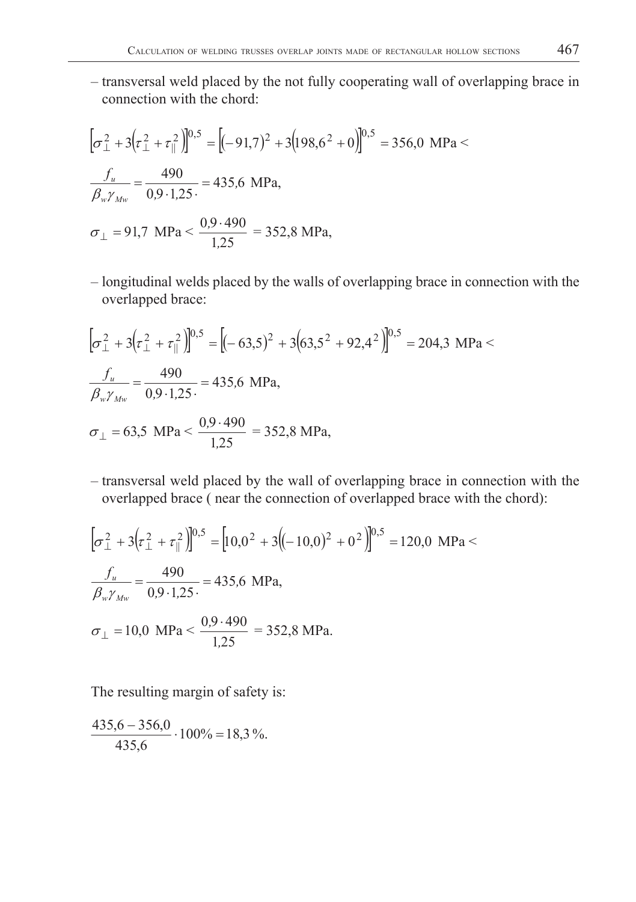– transversal weld placed by the not fully cooperating wall of overlapping brace in connection with the chord:

$$
\left[\sigma_{\perp}^{2} + 3\left(\tau_{\perp}^{2} + \tau_{\parallel}^{2}\right)\right]^{0,5} = \left[(-91,7)^{2} + 3\left(198,6^{2} + 0\right)\right]^{0,5} = 356,0 \text{ MPa} \n\frac{f_{u}}{\beta_{w}\gamma_{Mw}} = \frac{490}{0,9.1,25} = 435,6 \text{ MPa},
$$
\n
$$
\sigma_{\perp} = 91,7 \text{ MPa} < \frac{0,9.490}{1,25} = 352,8 \text{ MPa},
$$

 – longitudinal welds placed by the walls of overlapping brace in connection with the overlapped brace:

$$
\left[\sigma_{\perp}^{2} + 3\left(\tau_{\perp}^{2} + \tau_{\parallel}^{2}\right)\right]^{0.5} = \left[(-63.5)^{2} + 3\left(63.5^{2} + 92.4^{2}\right)\right]^{0.5} = 204.3 \text{ MPa} \n\frac{f_{u}}{\beta_{w}\gamma_{Mw}} = \frac{490}{0.9 \cdot 1.25} = 435.6 \text{ MPa},
$$
\n
$$
\sigma_{\perp} = 63.5 \text{ MPa} < \frac{0.9 \cdot 490}{1.25} = 352.8 \text{ MPa},
$$

 – transversal weld placed by the wall of overlapping brace in connection with the overlapped brace ( near the connection of overlapped brace with the chord):

$$
\left[\sigma_{\perp}^{2} + 3\left(\tau_{\perp}^{2} + \tau_{\parallel}^{2}\right)\right]^{0.5} = \left[10,0^{2} + 3\left((-10,0)^{2} + 0^{2}\right)\right]^{0.5} = 120,0 \text{ MPa} \n\frac{f_{u}}{\beta_{w}\gamma_{Mw}} = \frac{490}{0.9 \cdot 1.25} = 435,6 \text{ MPa},
$$
\n
$$
\sigma_{\perp} = 10,0 \text{ MPa} < \frac{0.9 \cdot 490}{1.25} = 352,8 \text{ MPa}.
$$

The resulting margin of safety is:

$$
\frac{435,6-356,0}{435,6} \cdot 100\% = 18,3\%.
$$